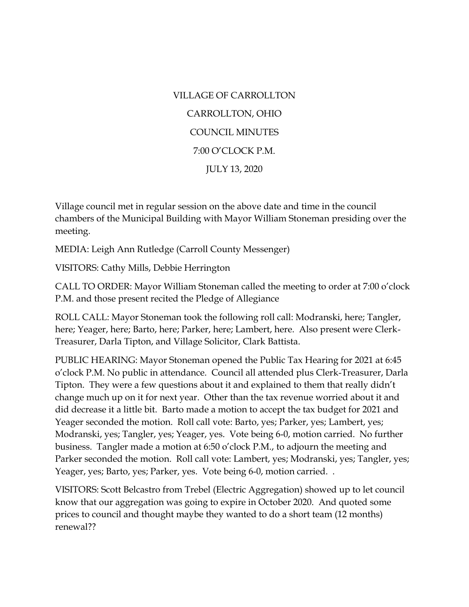VILLAGE OF CARROLLTON CARROLLTON, OHIO COUNCIL MINUTES 7:00 O'CLOCK P.M. JULY 13, 2020

Village council met in regular session on the above date and time in the council chambers of the Municipal Building with Mayor William Stoneman presiding over the meeting.

MEDIA: Leigh Ann Rutledge (Carroll County Messenger)

VISITORS: Cathy Mills, Debbie Herrington

CALL TO ORDER: Mayor William Stoneman called the meeting to order at 7:00 o'clock P.M. and those present recited the Pledge of Allegiance

ROLL CALL: Mayor Stoneman took the following roll call: Modranski, here; Tangler, here; Yeager, here; Barto, here; Parker, here; Lambert, here. Also present were Clerk-Treasurer, Darla Tipton, and Village Solicitor, Clark Battista.

PUBLIC HEARING: Mayor Stoneman opened the Public Tax Hearing for 2021 at 6:45 o'clock P.M. No public in attendance. Council all attended plus Clerk-Treasurer, Darla Tipton. They were a few questions about it and explained to them that really didn't change much up on it for next year. Other than the tax revenue worried about it and did decrease it a little bit. Barto made a motion to accept the tax budget for 2021 and Yeager seconded the motion. Roll call vote: Barto, yes; Parker, yes; Lambert, yes; Modranski, yes; Tangler, yes; Yeager, yes. Vote being 6-0, motion carried. No further business. Tangler made a motion at 6:50 o'clock P.M., to adjourn the meeting and Parker seconded the motion. Roll call vote: Lambert, yes; Modranski, yes; Tangler, yes; Yeager, yes; Barto, yes; Parker, yes. Vote being 6-0, motion carried. .

VISITORS: Scott Belcastro from Trebel (Electric Aggregation) showed up to let council know that our aggregation was going to expire in October 2020. And quoted some prices to council and thought maybe they wanted to do a short team (12 months) renewal??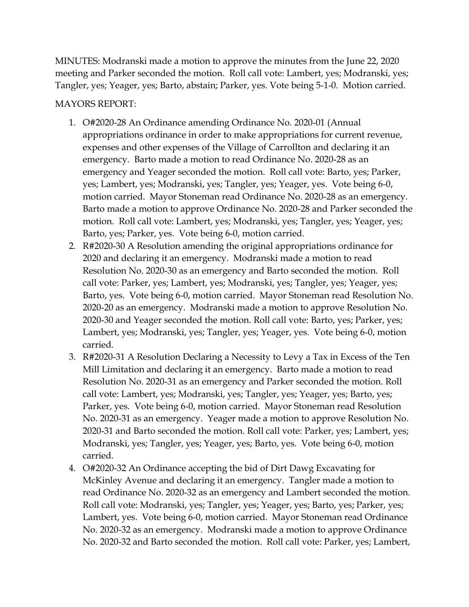MINUTES: Modranski made a motion to approve the minutes from the June 22, 2020 meeting and Parker seconded the motion. Roll call vote: Lambert, yes; Modranski, yes; Tangler, yes; Yeager, yes; Barto, abstain; Parker, yes. Vote being 5-1-0. Motion carried.

## MAYORS REPORT:

- 1. O#2020-28 An Ordinance amending Ordinance No. 2020-01 (Annual appropriations ordinance in order to make appropriations for current revenue, expenses and other expenses of the Village of Carrollton and declaring it an emergency. Barto made a motion to read Ordinance No. 2020-28 as an emergency and Yeager seconded the motion. Roll call vote: Barto, yes; Parker, yes; Lambert, yes; Modranski, yes; Tangler, yes; Yeager, yes. Vote being 6-0, motion carried. Mayor Stoneman read Ordinance No. 2020-28 as an emergency. Barto made a motion to approve Ordinance No. 2020-28 and Parker seconded the motion. Roll call vote: Lambert, yes; Modranski, yes; Tangler, yes; Yeager, yes; Barto, yes; Parker, yes. Vote being 6-0, motion carried.
- 2. R#2020-30 A Resolution amending the original appropriations ordinance for 2020 and declaring it an emergency. Modranski made a motion to read Resolution No. 2020-30 as an emergency and Barto seconded the motion. Roll call vote: Parker, yes; Lambert, yes; Modranski, yes; Tangler, yes; Yeager, yes; Barto, yes. Vote being 6-0, motion carried. Mayor Stoneman read Resolution No. 2020-20 as an emergency. Modranski made a motion to approve Resolution No. 2020-30 and Yeager seconded the motion. Roll call vote: Barto, yes; Parker, yes; Lambert, yes; Modranski, yes; Tangler, yes; Yeager, yes. Vote being 6-0, motion carried.
- 3. R#2020-31 A Resolution Declaring a Necessity to Levy a Tax in Excess of the Ten Mill Limitation and declaring it an emergency. Barto made a motion to read Resolution No. 2020-31 as an emergency and Parker seconded the motion. Roll call vote: Lambert, yes; Modranski, yes; Tangler, yes; Yeager, yes; Barto, yes; Parker, yes. Vote being 6-0, motion carried. Mayor Stoneman read Resolution No. 2020-31 as an emergency. Yeager made a motion to approve Resolution No. 2020-31 and Barto seconded the motion. Roll call vote: Parker, yes; Lambert, yes; Modranski, yes; Tangler, yes; Yeager, yes; Barto, yes. Vote being 6-0, motion carried.
- 4. O#2020-32 An Ordinance accepting the bid of Dirt Dawg Excavating for McKinley Avenue and declaring it an emergency. Tangler made a motion to read Ordinance No. 2020-32 as an emergency and Lambert seconded the motion. Roll call vote: Modranski, yes; Tangler, yes; Yeager, yes; Barto, yes; Parker, yes; Lambert, yes. Vote being 6-0, motion carried. Mayor Stoneman read Ordinance No. 2020-32 as an emergency. Modranski made a motion to approve Ordinance No. 2020-32 and Barto seconded the motion. Roll call vote: Parker, yes; Lambert,